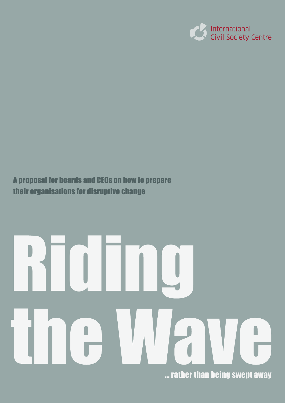

# A proposal for boards and CEOs on how to prepare their organisations for disruptive change

# ... rather than being swept away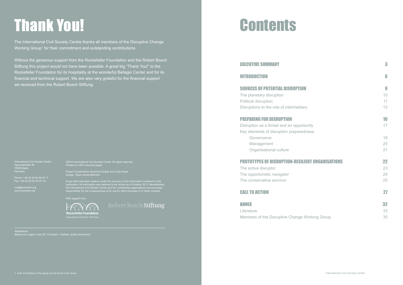# Thank You! Contents

The International Civil Society Centre thanks all members of the Disruptive Change Working Group<sup>1</sup> for their commitment and outstanding contributions.

| <b>EXECUTIVE SUMMARY</b>                                | 3  |
|---------------------------------------------------------|----|
| <b>INTRODUCTION</b>                                     | 6  |
| <b>SOURCES OF POTENTIAL DISRUPTION</b>                  | 9  |
| The planetary disruption                                | 10 |
| <b>Political disruption</b>                             | 11 |
| Disruptions to the role of intermediary                 | 12 |
| <b>PREPARING FOR DISRUPTION</b>                         | 16 |
| Disruption as a threat and an opportunity               | 17 |
| Key elements of disruption preparedness:                |    |
| Governance                                              | 18 |
| Management                                              | 20 |
| Organisational culture                                  | 21 |
| <b>PROTOTYPES OF DISRUPTION-RESILIENT ORGANISATIONS</b> | 22 |
| The active disruptor                                    | 23 |
| The opportunistic navigator                             | 24 |
| The conservative survivor                               | 25 |
| <b>CALL TO ACTION</b>                                   | 27 |
| ANNEX                                                   | 32 |
| Literature                                              | 33 |
| Members of the Disruptive Change Working Group          | 35 |

Without the generous support from the Rockefeller Foundation and the Robert Bosch Stiftung this project would not have been possible. A great big "Thank You!" to the Rockefeller Foundation for its hospitality at the wonderful Bellagio Center and for its financial and technical support. We are also very grateful for the financial support we received from the Robert Bosch Stiftung.

International Civil Society Centre Agricolastraße 26 10555 Berlin

Fax: +49 30 20 62 46 97 19

mail@icscentre.org www.icscentre.org

With support from



Robert Bosch Stiftung

# **EXECUTIVE SUMMARY**

# **INTRODUCTION**

# SOURCES OF POTENTIAL DISRUPTION

# **PREPARING FOR DISRUPTION**

# **PROTOTYPES OF DISRUPTION-RESILI**

# **CALL TO ACTION**

©2013 International Civil Society Centre. All rights reserved. Printed on 100% recycled paper.

Project Coordinators: Burkhard Gnärig and Linda Heyer Design: Tanja Lemke-Mahdavi

Every effort has been made to verify the accuracy of the information contained in this publication. All information was believed to be correct as of October 2013. Nevertheless, the International Civil Society Centre and the contributing organisations cannot accept responsibility for the consequences of its use for other purposes or in other contexts.

Illustrations:

Backcover, pages 2 and 26: Christoph J. Kellner, studio animanova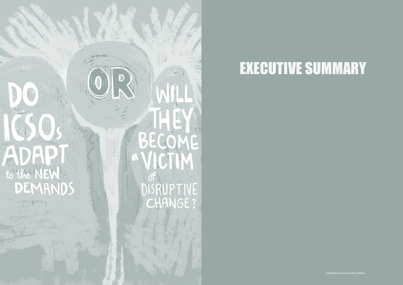# ADAP AUHUI GUCTIM<br>to the NEW DEMANDS

**THEFT.** 

D

BECOME  $\overline{0}$ **ISRUPTIVE** CHANGE?

International Civil Society Centre International Civil Society Centre Civil Society

# EXECUTIVE SUMMARY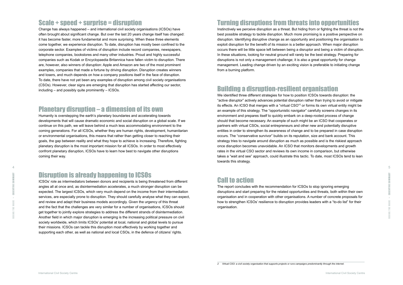# Turning disruptions from threats into opportunities

Instinctively we perceive disruption as a threat. But hiding from or fighting the threat is not the best possible strategy to tackle disruption. Much more promising is a positive perspective on disruption. Identifying disruptive change as an opportunity and positioning the organisation to exploit disruption for the benefit of its mission is a better approach. When major disruption occurs there will be little space left between being a disruptor and being a victim of disruption. In these situations, looking for neutral ground will rarely be the best strategy. Preparing for disruptions is not only a management challenge; it is also a great opportunity for change management. Leading change driven by an exciting vision is preferable to initiating change from a burning platform.

# Building a disruption-resilient organisation

We identified three different strategies for how to position ICSOs towards disruption: the "active disruptor" actively advances potential disruption rather than trying to avoid or mitigate its effects. An ICSO that merges with a "virtual CSO"<sup>2</sup> or forms its own virtual entity might be an example of this strategy. The "opportunistic navigator" carefully screens changes in its environment and prepares itself to quickly embark on a deep-rooted process of change should that become necessary. An example of such might be an ICSO that cooperates or partners with virtual CSOs, social entrepreneurs and other new and potentially disruptive entities in order to strengthen its awareness of change and to be prepared in case disruption occurs. The "conservative survivor" builds on its reputation, size and bank account. This strategy tries to navigate around disruption as much as possible and is the riskiest approach once disruption becomes unavoidable. An ICSO that monitors developments and growth rates in the virtual CSO sector and reviews its own income in comparison, but otherwise takes a "wait and see" approach, could illustrate this tactic. To date, most ICSOs tend to lean towards this strategy.

# Call to action

The report concludes with the recommendation for ICSOs to stop ignoring emerging disruptions and start preparing for the related opportunities and threats, both within their own organisation and in cooperation with other organisations. A number of concrete proposals for how to strengthen ICSOs' resilience to disruption provides leaders with a "to-do list" for their organisation.

# Scale + speed + surprise = disruption

Change has always happened – and international civil society organisations (ICSOs) have often brought about significant change. But over the last 20 years change itself has changed: it has become faster, more fundamental and more surprising. When these three elements come together, we experience disruption. To date, disruption has mostly been confined to the corporate sector. Examples of victims of disruption include record companies, newspapers, telephone companies, bookstores and many other industries. Proud and highly successful companies such as Kodak or Encyclopaedia Britannica have fallen victim to disruption. There are, however, also winners of disruption: Apple and Amazon are two of the most prominent examples, companies that made a fortune by driving disruption. Disruption creates winners and losers, and much depends on how a company positions itself in the face of disruption. To date, there have not yet been any examples of disruption among civil society organisations (CSOs). However, clear signs are emerging that disruption has started affecting our sector, including – and possibly quite prominently – ICSOs.

# Planetary disruption – a dimension of its own

Humanity is overstepping the earth's planetary boundaries and accelerating towards developments that will cause dramatic economic and social disruption on a global scale. If we continue on this path, we will leave behind a much less accommodating environment to the coming generations. For all ICSOs, whether they are human rights, development, humanitarian or environmental organisations, this means that rather than getting closer to reaching their goals, the gap between reality and what they hope to achieve is increasing. Therefore, fighting planetary disruption is the most important mission for all ICSOs. In order to most effectively confront planetary disruption, ICSOs have to learn how best to navigate other disruptions coming their way.

# Disruption is already happening to ICSOs

ICSOs' role as intermediators between donors and recipients is being threatened from different angles all at once and, as disintermediation accelerates, a much stronger disruption can be expected. The largest ICSOs, which very much depend on the income from their intermediation services, are especially prone to disruption. They should carefully analyse what they can expect, and review and adapt their business models accordingly. Given the urgency of this threat and the fact that the challenges are very similar for a number of organisations, ICSOs should get together to jointly explore strategies to address the different strands of disintermediation. Another field in which major disruption is emerging is the increasing political pressure on civil society worldwide, which limits ICSOs' potential at local, national and global levels to pursue their missions. ICSOs can tackle this disruption most effectively by working together and supporting each other, as well as national and local CSOs, in the defence of citizens' rights.

*<sup>2</sup> Virtual CSO: a civil society organisation that supports projects or runs campaigns predominantly through the internet.*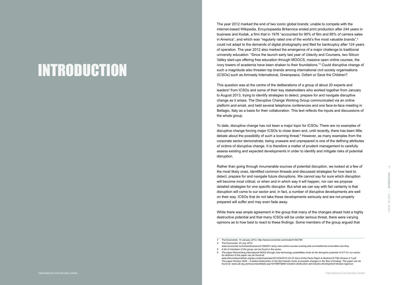The year 2012 marked the end of two iconic global brands: unable to compete with the internet-based Wikipedia, Encyclopaedia Britannica ended print production after 244 years in business and Kodak, a firm that in 1976 "accounted for 90% of film and 85% of camera sales in America", and which was "regularly rated one of the world's five most valuable brands", 3 could not adapt to the demands of digital photography and filed for bankruptcy after 124 years of operation. The year 2012 also marked the emergence of a major challenge to traditional university education: "Since the launch early last year of Udacity and Coursera, two Silicon Valley start-ups offering free education through MOOCS, massive open online courses, the ivory towers of academia have been shaken to their foundations." 4 Could disruptive change of such a magnitude also threaten top brands among international civil society organisations (ICSOs) such as Amnesty International, Greenpeace, Oxfam or Save the Children?

This question was at the centre of the deliberations of a group of about 20 experts and leaders 5 from ICSOs and some of their key stakeholders who worked together from January to August 2013, trying to identify strategies to detect, prepare for and navigate disruptive change as it arises. The Disruptive Change Working Group communicated via an online platform and email, and held several telephone conferences and one face-to-face meeting in Bellagio, Italy as a basis for their collaboration. This text reflects the inputs and discussions of the whole group.

To date, disruptive change has not been a major topic for ICSOs. There are no examples of disruptive change forcing major ICSOs to close down and, until recently, there has been little debate about the possibility of such a looming threat. 6 However, as many examples from the corporate sector demonstrate, being unaware and unprepared is one of the defining attributes of victims of disruptive change. It is therefore a matter of prudent management to carefully assess existing and expected developments in order to identify and mitigate risks of potential disruption.

Rather than going through innumerable sources of potential disruption, we looked at a few of the most likely ones, identified common threads and discussed strategies for how best to detect, prepare for and navigate future disruptions. We cannot say for sure which disruption will become most critical, or when and in which way it will happen, nor can we propose detailed strategies for one specific disruptor. But what we can say with fair certainty is that disruption will come to our sector and, in fact, a number of disruptive developments are well on their way. ICSOs that do not take these developments seriously and are not properly prepared will suffer and may even fade away.

While there was ample agreement in the group that many of the changes ahead hold a highly destructive potential and that many ICSOs will be under serious threat, there were varying opinions as to how best to react to these findings. Some members of the group argued that

*found at: www.odi.org.uk/resources/details.asp?id=6687&title=creative-destruction-aid-industry-development-kharas-rogerson*

# INTRODUCTION

<sup>5</sup> A list of members of the group can be found in the annex.<br>6 The paper Reinventing international NGOs through new technology possibilities looks at the disruptive potential of ICT for our sector. *An abstract of the paper can be found at: www.thecrowleyinstitute.org/wp-content/uploads/2012/04/2012-02-23-Sum-of-the-Parts-Paper-4-Abstract-ICT4D-Version-0.7.pdf The paper* Horizon 2025 – Creative Destruction in the Aid Industry *looks at possible changes in the flow of funding. The paper can be* 

*<sup>3</sup>* The Economist*, 14 January 2012, http://www.economist.com/node/21542796 4* The Economist*, 20 July 2013,* 

*www.economist.com/news/business/21582001-army-new-online-courses-scaring-wits-out-traditional-universities-can-they*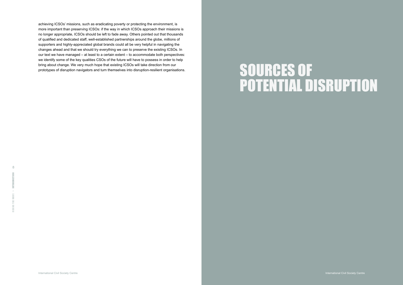# SOURCES OF POTENTIAL DISRUPTION

Civil Society achieving ICSOs' missions, such as eradicating poverty or protecting the environment, is more important than preserving ICSOs: if the way in which ICSOs approach their missions is no longer appropriate, ICSOs should be left to fade away. Others pointed out that thousands of qualified and dedicated staff, well-established partnerships around the globe, millions of supporters and highly-appreciated global brands could all be very helpful in navigating the changes ahead and that we should try everything we can to preserve the existing ICSOs. In our text we have managed – at least to a certain extent – to accommodate both perspectives: we identify some of the key qualities CSOs of the future will have to possess in order to help bring about change. We very much hope that existing ICSOs will take direction from our prototypes of disruption navigators and turn themselves into disruption-resilient organisations.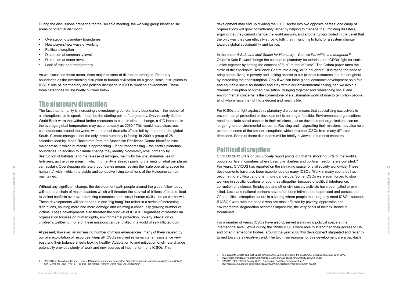development may end up dividing the ICSO sector into two opposite parties: one camp of organisations will grow considerably larger by helping to manage the unfolding disasters, arguing that they cannot change the world anyway, and another group rooted in the belief that the only way they can ethically strive to fulfil their mission is to fight for a system change towards global sustainability and justice.

In the paper *A Safe and Just Space for Humanity – Can we live within the doughnut?*<sup>8</sup> Oxfam's Kate Raworth brings the concept of planetary boundaries and ICSOs' fight for social justice together by adding the concept of "just" to that of "safe". The Oxfam paper turns the circle of the Stockholm Resilience Centre into a ring, or "a doughnut", illustrating the need to bring people living in poverty and lacking access to our planet's resources into the doughnut by increasing their consumption. Only if we can base global economic development on a fair and equitable social foundation and stay within our environmental ceiling, can we avoid a dramatic disruption of human civilisation. Bringing together and rebalancing social and environmental concerns is the cornerstone of a sustainable world of nine to ten billion people, all of whom have the right to a decent and healthy life.

For ICSOs the fight against this planetary disruption means that specialising exclusively in environmental protection or development is no longer feasible. Environmental organisations need to include social aspects in their missions, just as development organisations can no longer ignore environmental concerns. Revising and invigorating their missions may also help overcome some of the smaller disruptions which threaten ICSOs from many different directions. Some of these disruptions will be briefly reviewed in the next chapters.

- Overstepping planetary boundaries
- New players/new ways of working
- Political disruption
- Disruption at community level
- Disruption at donor level
- Lack of trust and transparency

# Political disruption

CIVICUS 2013 *State of Civil Society* report points out that "a shocking 57% of the world's population live in countries where basic civil liberties and political freedoms are curtailed."9 For years, CIVICUS has reported on the shrinking space for civil society worldwide. These developments have also been experienced by many ICSOs. Work in many countries has become more difficult and often more dangerous. Some ICSOs were even forced to stop working in specific locations or countries altogether because of political interference, corruption or violence. Employees and other civil society activists have been jailed or even killed. Local and national partners have often been intimidated, oppressed and persecuted. Often political disruption occurs in a setting where people most urgently need ICSOs' support. If ICSOs' work with the people who are most affected by poverty, oppression and environmental degradation becomes impossible, the very basis of their existence is threatened.

 $_{10}$  can sustain. Overstepping planetary boundaries means leaving the "safe operating space for  $\,$ For years, CIVICUS has reported on the shrinking space for civil society worldwide. These  $_{11}$ The fact that humanity is increasingly overstepping our planetary boundaries – the mother of all disruptions, so to speak – must be the starting point of our journey. Only recently did the World Bank warn that without further measures to contain climate change, a 4°C increase in the average global temperature may occur as early as 2060.7 This would have disastrous consequences around the world, with the most dramatic effects felt by the poor in the global South. Climate change is not the only threat humanity is facing: in 2009 a group of 28 scientists lead by Johan Rockström from the Stockholm Resilience Centre identified nine major areas in which humanity is approaching – if not transgressing – the earth's planetary boundaries. In addition to climate change they identify biodiversity loss, primarily by destruction of habitats, and the release of nitrogen, mainly by the unsustainable use of fertilisers, as the three areas in which humanity is already pushing the limits of what our planet humanity" within which the stable and conducive living conditions of the Holocene can be maintained.

> For a number of years, ICSOs have also observed a shrinking political space at the international level. While during the 1990s ICSOs were able to strengthen their access to UN and other international bodies, around the year 2000 this development stagnated and recently turned towards a negative trend. The two main reasons for this development are a backlash

Ξ

During the discussions preparing for the Bellagio meeting, the working group identified six areas of potential disruption:

As we discussed these areas, three major clusters of disruption emerged: Planetary boundaries as the overarching disruption to human civilisation on a global scale, disruptions to ICSOs' role of intermediary and political disruption in ICSOs' working environment. These three categories will be briefly outlined below.

# The planetary disruption

Without any significant change, the development path people around the globe follow today will lead to a chain of major disasters which will threaten the survival of billions of people, lead to violent conflicts over ever-shrinking resources and disrupt human civilisation as we know it. These developments will not happen in one "big bang" but rather in a series of increasing disruptions, causing more and more damage and claiming a continually growing number of victims. These developments also threaten the survival of ICSOs. Regardless of whether an organisation focuses on human rights, environmental protection, poverty alleviation or children's wellbeing, none of these missions can be fulfilled in a world of self-inflicted doom.

At present, however, an increasing number of major emergencies, many of them caused by our overexploitation of resources, keep all ICSOs involved in humanitarian assistance very busy and their balance sheets looking healthy. Adaptation to and mitigation of climate change potentially provides plenty of work and new sources of income for many ICSOs. This

*<sup>8</sup> Kate Raworth,* A Safe and Just Space for Humanity. Can we live within the doughnut?*, Oxfam Discussion Paper, 2012, www.oxfam.org/sites/www.oxfam.org/files/dp-a-safe-and-just-space-for-humanity-130212-en.pdf*

*<sup>9</sup> CIVICUS,* State of Civil Society 2013 – Creating an Enabling Environment*. p. 6, http://socs.civicus.org/wp-content/uploads/2013/04/2013StateofCivilSocietyReport\_full.pdf*

*<sup>7</sup> World Bank,* Turn down the heat – why a 4°C warmer world must be avoided*, http://climatechange.worldbank.org/sites/default/files/ Turn\_Down\_the\_heat\_Why\_a\_4\_degree\_centrigrade\_warmer\_world\_must\_be\_avoided.pdf*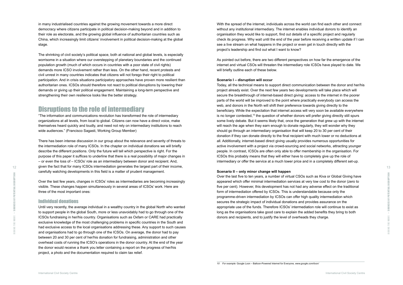With the spread of the internet, individuals across the world can find each other and connect without any institutional intermediary. The internet enables individual donors to identify an organisation they would like to support, find out details of a specific project and regularly check its progress. Why wait until the end of the year before receiving a written update if I can see a live stream on what happens in the project or even get in touch directly with the project's leadership and find out what I want to know?

As pointed out before, there are two different perspectives on how far the emergence of the internet and virtual CSOs will threaten the intermediary role ICSOs have played to date. We will briefly outline each of these below.

### **Scenario I – disruption will occur**

Today, all the technical means to support direct communication between the donor and her/his project already exist. Over the next few years two developments will take place which will secure the breakthrough of internet-based direct giving: access to the internet in the poorer parts of the world will be improved to the point where practically everybody can access the web, and donors in the North will shift their preference towards giving directly to the beneficiary. While the expectation that internet access will very soon be available everywhere is no longer contested,<sup>10</sup> the question of whether donors will prefer giving directly still spurs some lively debate. But it seems likely that, once the generation that grew up with the internet will reach the age when they earn enough to donate regularly, they will wonder why they should go through an intermediary organisation that will keep 20 to 30 per cent of their donation if they can donate directly to the final recipient with much lower or no deductions at all. Additionally, internet-based direct giving usually provides numerous opportunities for active involvement with a project via crowd-sourcing and social networks, attracting younger people. In contrast, ICSOs are often only able to offer membership in the organisation. For ICSOs this probably means that they will either have to completely give up the role of intermediary or offer the service at a much lower price and in a completely different set-up.

> SOURCES OF POTENTIAL DISRUPTION Riding the Wave > SOURCES OF POTENTIAL DISRUPTION

### **Scenario II – only minor change will happen**

 $_{12}$  given the fact that for many ICSOs intermediation generates the largest part of their income, There has been intense discussion in our group about the relevance and severity of threats to the intermediation role of many ICSOs. In the chapter on individual donations we will briefly describe the different positions. Only the future will tell which perspective is right. For the purpose of this paper it suffices to underline that there is a real possibility of major changes in – or even the loss of – ICSOs' role as an intermediary between donor and recipient. And, carefully watching developments in this field is a matter of prudent management.

> Over the last five to ten years, a number of virtual CSOs such as Kiva or Global Giving have appeared which offer minimal intermediation services at very low cost to the donor (zero to five per cent). However, this development has not had any adverse effect on the traditional form of intermediation offered by ICSOs. This is understandable because only the programme-driven intermediation by ICSOs can offer high quality intermediation which secures the strategic impact of individual donations and provides assurance on the appropriate use of the funds. Therefore ICSOs' intermediation role will continue to exist as long as the organisations take good care to explain the added benefits they bring to both donors and recipients, and to justify the level of overheads they charge.

in many industrialised countries against the growing movement towards a more direct democracy where citizens participate in political decision-making beyond and in addition to their role as electorate, and the growing global influence of authoritarian countries such as China, which increasingly limit citizens' involvement in political decision-making at the global stage.

The shrinking of civil society's political space, both at national and global levels, is especially worrisome in a situation where our overstepping of planetary boundaries and the continued population growth (much of which occurs in countries with a poor state of civil rights) demands more ICSO involvement rather than less. On the other hand, recent protests and civil unrest in many countries indicates that citizens will not forego their right to political participation. And in crisis situations participatory approaches have proven more resilient than authoritarian ones. ICSOs should therefore not react to political disruptions by lowering their demands or giving up their political engagement. Maintaining a long-term perspective and strengthening their own resilience looks like the better strategy.

# Disruptions to the role of intermediary

"The information and communications revolution has transformed the role of intermediary organizations at all levels, from local to global. Citizens can now have a direct voice, make themselves heard quickly and loudly, and need not rely on intermediary institutions to reach wide audiences." (Francisco Sagasti, Working Group Member)

Over the last few years, changes in ICSOs' roles as intermediaries are becoming increasingly visible. These changes happen simultaneously in several areas of ICSOs' work. Here are three of the most important ones:

### Individual donations

Until very recently, the average individual in a wealthy country in the global North who wanted to support people in the global South, more or less unavoidably had to go through one of the ICSOs fundraising in her/his country. Organisations such as Oxfam or CARE had practically exclusive knowledge of the most challenging problems in specific countries in the South and had exclusive access to the local organisations addressing these. Any support to such causes and organisations had to go through one of the ICSOs. On average, the donor had to pay between 20 and 30 per cent of her/his donation for fundraising, administration and other overhead costs of running the ICSO's operations in the donor country. At the end of the year the donor would receive a thank you letter containing a report on the progress of her/his project, a photo and the documentation required to claim tax relief.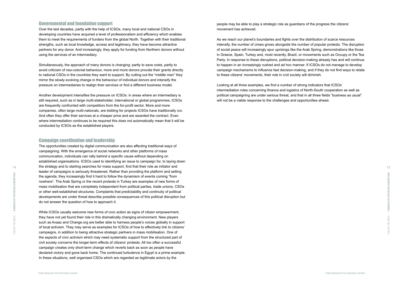people may be able to play a strategic role as guardians of the progress the citizens' movement has achieved.

As we reach our planet's boundaries and fights over the distribution of scarce resources intensify, the number of crises grows alongside the number of popular protests. The disruption of social peace will increasingly spur uprisings like the Arab Spring, demonstrations like those in Greece, Spain, Turkey and, most recently, Brazil, or movements such as Occupy or the Tea Party. In response to these disruptions, political decision-making already has and will continue to happen in an increasingly rushed and ad hoc manner. If ICSOs do not manage to develop campaign mechanisms to influence fast decision-making, and if they do not find ways to relate to these citizens' movements, their role in civil society will diminish.

> OF POTENTIAL DISRUPTION Riding the Wave > SOURCES OF POTENTIAL DISRUPTION

Looking at all three examples, we find a number of strong indicators that ICSOs' intermediation roles concerning finance and logistics of North-South cooperation as well as political campaigning are under serious threat, and that in all three fields "business as usual" will not be a viable response to the challenges and opportunities ahead.

### Governmental and foundation support

Over the last decades, partly with the help of ICSOs, many local and national CSOs in developing countries have acquired a level of professionalism and efficiency which enables them to meet the requirements of funders from the global North. Together with their traditional strengths, such as local knowledge, access and legitimacy, they have become attractive partners for any donor. And increasingly, they apply for funding from Northern donors without using the services of an intermediary.

14 15 The opportunities created by digital communication are also affecting traditional ways of campaigning. With the emergence of social networks and other platforms of mass communication, individuals can rally behind a specific cause without depending on established organisations. ICSOs used to identifying an issue to campaign for, to laying down leader of campaigns is seriously threatened. Rather than providing the platform and setting the agenda, they increasingly find it hard to follow the dynamism of events coming "from nowhere". The Arab Spring or the recent protests in Turkey are examples of new forms of mass mobilisation that are completely independent from political parties, trade unions, CSOs or other well-established structures. Complaints that predictability and continuity of political developments are under threat describe possible consequences of this political disruption but do not answer the question of how to approach it.

While ICSOs usually welcome new forms of civic action as signs of citizen empowerment, they have not yet found their role in this dramatically changing environment. New players such as Avaaz and Change.org are better able to harness people's voices globally in support of local activism. They may serve as examples for ICSOs of how to effectively link to citizens' campaigns, in addition to being attractive strategic partners in mass mobilisation. One of the aspects of civic activism which may need systematic support from the structured part of civil society concerns the longer-term effects of citizens' protests. All too often a successful campaign creates only short-term change which reverts back as soon as people have declared victory and gone back home. The continued turbulence in Egypt is a prime example. In these situations, well organised CSOs which are regarded as legitimate actors by the

Simultaneously, the approach of many donors is changing: partly to save costs, partly to avoid criticism of neo-colonial behaviour, more and more donors provide their grants directly to national CSOs in the countries they want to support. By cutting out the "middle man" they mirror the slowly evolving change in the behaviour of individual donors and intensify the pressure on intermediaries to realign their services or find a different business model.

Another development intensifies the pressure on ICSOs: in areas where an intermediary is still required, such as in large multi-stakeholder, international or global programmes, ICSOs are frequently confronted with competitors from the for-profit sector. More and more companies, often large multi-nationals, are bidding for projects ICSOs have traditionally run. And often they offer their services at a cheaper price and are awarded the contract. Even where intermediation continues to be required this does not automatically mean that it will be conducted by ICSOs as the established players.

## Campaign coordination and leadership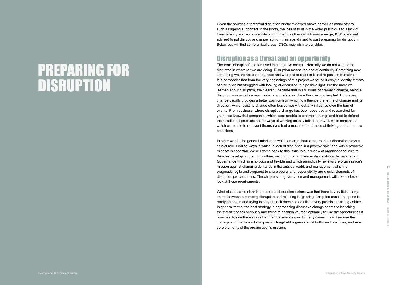Given the sources of potential disruption briefly reviewed above as well as many others, such as ageing supporters in the North, the loss of trust in the wider public due to a lack of transparency and accountability, and numerous others which may emerge, ICSOs are well advised to put disruptive change high on their agenda and to start preparing for disruption. Below you will find some critical areas ICSOs may wish to consider.

# Disruption as a threat and an opportunity

The term "disruption" is often used in a negative context. Normally we do not want to be disrupted in whatever we are doing. Disruption means the end of continuity. Something new, something we are not used to arises and we need to react to it and re-position ourselves. It is no wonder that from the very beginnings of this project we found it easy to identify threats of disruption but struggled with looking at disruption in a positive light. But the more we learned about disruption, the clearer it became that in situations of dramatic change, being a disruptor was usually a much safer and preferable place than being disrupted. Embracing change usually provides a better position from which to influence the terms of change and its direction, while resisting change often leaves you without any influence over the turn of events. From business, where disruptive change has been observed and researched for years, we know that companies which were unable to embrace change and tried to defend their traditional products and/or ways of working usually failed to prevail, while companies which were able to re-invent themselves had a much better chance of thriving under the new conditions.

 $17$  16  $17$  17  $17$  17  $17$  17  $17$   $17$   $17$   $17$   $17$   $18$   $19$   $19$   $19$   $19$ In other words, the general mindset in which an organisation approaches disruption plays a crucial role. Finding ways in which to look at disruption in a positive spirit and with a proactive mindset is essential. We will come back to this issue in our review of organisational culture. Besides developing the right culture, securing the right leadership is also a decisive factor. Governance which is ambitious and flexible and which periodically reviews the organisation's pragmatic, agile and prepared to share power and responsibility are crucial elements of disruption preparedness. The chapters on governance and management will take a closer look at these requirements.

What also became clear in the course of our discussions was that there is very little, if any, space between embracing disruption and rejecting it. Ignoring disruption once it happens is rarely an option and trying to stay out of it does not look like a very promising strategy either. In general terms, the best strategy in approaching disruptive change seems to be taking the threat it poses seriously and trying to position yourself optimally to use the opportunities it provides: to ride the wave rather than be swept away. In many cases this will require the courage and the flexibility to question long-held organisational truths and practices, and even disruption preparedness. The chapters on governance and management will take a closer<br>look at these requirements.<br>What also became clear in the course of our discussions was that there is very little, if any,<br>space between

# PREPARING FOR DISRUPTION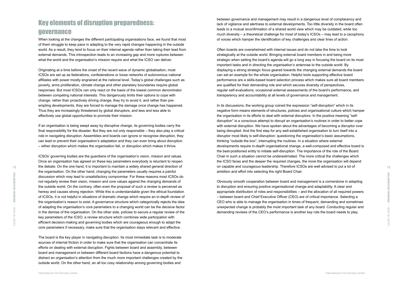between governance and management may result in a dangerous level of complacency and lack of vigilance and alertness to external developments. Too little diversity in the board often leads to a mutual reconfirmation of a shared world view which may be outdated, while too much diversity – a theoretical challenge for most of today's ICSOs – may lead to a cacophony of voices which hamper the identification of key challenges and clear lines of action.

Often boards are overwhelmed with internal issues and do not take the time to look strategically at the outside world. Bringing external board members in and being more strategic when setting the board's agenda will go a long way in focusing the board on its most important tasks and in directing the organisation's antennae to the outside world. By displaying a strong strategic focus geared towards the changing external demands the board can set an example for the whole organisation. Helpful tools supporting effective board performance are a skills-based board selection process which makes sure all board members are qualified for their demanding role and which secures diversity of perspectives, regular self-evaluations, occasional external assessments of the board's performance, and transparency and accountability at all levels of governance and management.

18 19 19 the debate. On the one hand, it is important to maintain a widely shared general direction of **19** on capable and courageous leadership. Therefore ICSOs are well advised to put a lot of  $19$ In its discussions, the working group coined the expression "self-disruption" which in its negative form means elements of structures, policies and organisational culture which hamper the organisation in its efforts to deal with external disruptors. In the positive meaning "selfdisruption" is a conscious attempt to disrupt an organisation's routines in order to better cope with external disruption. We have spoken about the advantages of becoming a disruptor over being disrupted. And the first step for any well-established organisation to turn itself into a disruptor most likely is self-disruption: questioning the organisation's basic assumptions, thinking "outside the box", interrupting the routines. In a situation where external developments require in-depth organisational change, a well-composed and effective board is the best-positioned entity to initiate self-disruption. The importance of the role of the Board Chair in such a situation cannot be underestimated. The more critical the challenges which the ICSO faces and the deeper the required changes, the more the organisation will depend on capable and courageous leadership. Therefore ICSOs are well advised to put a lot of ambition and effort into selecting the right Board Chair.

> Obviously smooth cooperation between board and management is a cornerstone in adapting to disruption and ensuring positive organisational change and adaptability. A clear and appropriate distribution of roles and responsibilities – and the allocation of all required powers – between board and Chief Executive Officer (CEO) are of critical importance. Selecting a CEO who is able to manage the organisation in times of frequent, demanding and sometimes unexpected change is probably the most important task of any board. Conducting regular and demanding reviews of the CEO's performance is another key role the board needs to play.

# Key elements of disruption preparedness: governance

When looking at the changes the different participating organisations face, we found that most of them struggle to keep pace in adapting to the very rapid changes happening in the outside world. As a result, they tend to focus on their internal agenda rather than taking their lead from external demands. This introspection leads to an increasing gap and more ruptures between what the world and the organisation's mission require and what the ICSO can deliver.

Originating at a time before the onset of the recent wave of dynamic globalisation, most ICSOs are set up as federations, confederations or loose networks of autonomous national affiliates with power mostly engrained at the national level. Today's global challenges such as poverty, arms proliferation, climate change and other planetary boundaries require global responses. But most ICSOs can only react on the basis of the lowest common denominator between competing national interests. This dangerously limits their options to cope with change: rather than proactively driving change, they try to avoid it, and rather than preempting developments, they are forced to manage the damage once change has happened. Thus they are increasingly threatened by global disruptors, and less and less able to effectively use global opportunities to promote their mission.

If an organisation is being swept away by disruptive change, its governing bodies carry the final responsibility for the disaster. But they are not only responsible – they also play a critical role in navigating disruption. Assemblies and boards can ignore or recognise disruption, they can lead or prevent their organisation's adaptation and they can even bring about disruption – either disruption which makes the organisation fail, or disruption which makes it thrive.

ICSOs' governing bodies are the guardians of the organisation's vision, mission and values. Once an organisation has agreed on these key parameters everybody is reluctant to reopen the organisation. On the other hand, changing the parameters usually requires a painful discussion which may lead to unsatisfactory compromise. For these reasons most ICSOs do not regularly review their vision, mission and core values against the changing demands of the outside world. On the contrary, often even the proposal of such a review is perceived as heresy and causes strong rejection. While this is understandable given the ethical foundation of ICSOs, it is not helpful in situations of dramatic change which require an in-depth review of the organisation's reason to exist. A governance structure which categorically rejects the idea of adapting the organisation's core parameters to a changing world can be the decisive factor in the demise of the organisation. On the other side, policies to secure a regular review of the key parameters of the ICSO, a review structure which combines wide participation with efficient decision-making and governing bodies which are courageous enough to adapt the core parameters if necessary, make sure that the organisation stays relevant and effective.

The board is the key player in navigating disruption. Its most immediate task is to moderate sources of internal friction in order to make sure that the organisation can concentrate its efforts on dealing with external disruption. Fights between board and assembly, between board and management or between different board factions have a dangerous potential to distract an organisation's attention from the much more important challenges created by the outside world. On the other hand, an all too cosy relationship among governing bodies and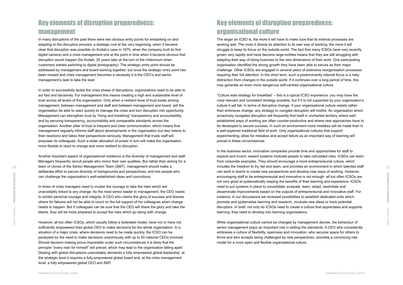# Key elements of disruption preparedness: organisational culture

The larger an ICSO is, the more it will have to make sure that its internal processes are working well. The more it directs its attention to its own way of working, the more it will struggle to keep its focus on the outside world. The fact that many ICSOs have very recently grown very rapidly and have become large entities means that they are still struggling with adapting their way of doing business to the new dimensions of their work. One participating organisation identified the strong growth they have been able to secure as their major challenge. Other ICSOs are engaged in several years of extensive reorganisation processes requiring their full attention. In the short term, such a predominantly internal focus is a risky distraction from changes in the outside world. If it continues over a long period of time, this may generate an even more dangerous self-centred organisational culture.

"Culture eats strategy for breakfast" – this is a typical ICSO experience: you may have the most relevant and consistent strategy possible, but if it is not supported by your organisation's culture it will fail. In terms of disruptive change, if your organisational culture resists rather than embraces change, any strategy to navigate disruption will misfire. An organisation which proactively navigates disruption will frequently find itself in uncharted territory where wellestablished ways of working are often counter-productive and where new approaches have to be developed to secure success. In such an environment more mistakes will be made than in a well-explored traditional field of work. Only organisational cultures that support experimenting, allow for mistakes and accept failure as an important way of learning will prevail in these circumstances.

In the business sector, innovative companies provide time and opportunities for staff to explore and invent; reward systems motivate people to take calculated risks. ICSOs can learn from corporate examples. They should encourage a more entrepreneurial culture, which can work in teams to create new perspectives and develop new ways of working. However, encouraging staff to be entrepreneurial and innovative is not enough: all too often ICSOs are not very good at systematically reaping the benefits of their learning and experience. ICSOs need to put systems in place to consolidate, evaluate, learn, adapt, assimilate and disseminate improvements based on the outputs of entrepreneurial and innovative staff. For instance, in our discussions we reviewed possibilities to establish dedicated units which promote and systematise learning and research, incubate new ideas or track potential disruptors. In brief, not only do ICSOs need to create a culture that appreciates and supports learning, they need to develop into learning organisations.

 $_{20}$  team of clones of the Senior Management Team (SMT), management should make a section to try, fail and learn, and provides an environment in which talented staff staff starting  $_{21}$ Another important aspect of organisational resilience is the diversity of management and staff. Managers frequently recruit people who mirror their own qualities. But rather than aiming for a team of clones of the Senior Management Team (SMT), management should make a deliberate effort to secure diversity of backgrounds and perspectives, and hire people who can challenge the organisation's well-established ideas and convictions.

> While organisational culture cannot be changed by management decree, the behaviour of senior management plays an important role in setting the standards. A CEO who consistently embraces a culture of flexibility, openness and innovation, who secures space for others to thrive and who accepts being challenged by new perspectives, provides a convincing role model for a more open and flexible organisational culture.

Ξ Riding the Wave > PREPARING FOR DISRUPTION ă ARING F È

# Key elements of disruption preparedness: management

In many disruptions of the past there were two obvious entry points for embarking on and adapting to the disruptive process: a strategic one at the very beginning, when it became clear that disruption was possible (in Kodak's case in 1975, when the company built its first digital camera) and a crisis management one at the point in time when it became obvious that disruption would happen (for Kodak, 25 years later at the turn of the millennium when customers started switching to digital photography). The strategic entry point should be addressed by management and board working together; but once the strategic entry point has been missed and crisis management becomes a necessity it is the CEO's and senior management's task to take the lead.

In order to successfully tackle the crisis phase of disruptions, organisations need to be able to act fast and decisively. For management this means creating a high and sustainable level of trust across all levels of the organisation. Only when a resilient level of trust exists among management, between management and staff and between management and board, will the organisation be able to react quickly to manage the crisis and turn disruption into opportunity. Management can strengthen trust by "living and breathing" transparency and accountability, and by securing transparency, accountability and comparable standards across the organisation. Another pillar of trust is frequent and clear communication, which means that management regularly informs staff about developments in the organisation but also listens to their reactions and takes their perspectives seriously. Management that trusts staff will empower its colleagues. Such a wider allocation of power in turn will make the organisation more flexible to react to change and more resilient to disruption.

In times of crisis managers need to muster the courage to take the risks which are unavoidably linked to any change. As the most senior leader in management, the CEO needs to exhibit personal courage and integrity. A CEO who claims the glory of success and blames others for failures will not be able to count on the full support of his colleagues when change needs to happen. But if colleagues can be sure that the CEO will share the glory and take the blame, they will be more prepared to accept the risks which go along with change.

However, all too often ICSOs, which usually follow a federated model, have not or have not sufficiently empowered their global CEO to make decisions for the whole organisation. In a situation of a major crisis, where decisions need to be made quickly, the ICSO can be paralysed by the need to make decisions unanimously with up to 50 national CEOs involved. Should decision-making prove impossible under such circumstances it is likely that the principle "every man for himself" will prevail, which may lead to the organisation falling apart. Dealing with global disruptions unavoidably demands a fully empowered global leadership: at the strategic level it requires a fully empowered global board and, at the crisis management level, a fully empowered global CEO and SMT.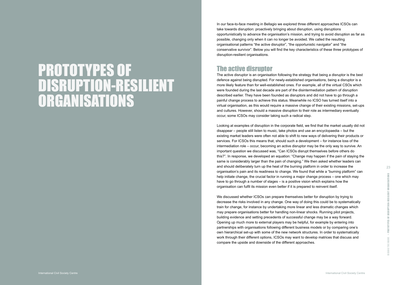In our face-to-face meeting in Bellagio we explored three different approaches ICSOs can take towards disruption: proactively bringing about disruption, using disruptions opportunistically to advance the organisation's mission, and trying to avoid disruption as far as possible, changing only when it can no longer be avoided. We called the resulting organisational patterns "the active disruptor", "the opportunistic navigator" and "the conservative survivor". Below you will find the key characteristics of these three prototypes of disruption-resilient organisations.

# The active disruptor

The active disruptor is an organisation following the strategy that being a disruptor is the best defence against being disrupted. For newly-established organisations, being a disruptor is a more likely feature than for well-established ones. For example, all of the virtual CSOs which were founded during the last decade are part of the disintermediation pattern of disruption described earlier. They have been founded as disruptors and did not have to go through a painful change process to achieve this status. Meanwhile no ICSO has turned itself into a virtual organisation, as this would require a massive change of their existing missions, set-ups and cultures. However, should a massive disruption to their role as intermediary eventually occur, some ICSOs may consider taking such a radical step.

and should deliberately turn up the heat of the burning platform in order to increase the  $_{\rm 23}$ Looking at examples of disruption in the corporate field, we find that the market usually did not disappear – people still listen to music, take photos and use an encyclopaedia – but the existing market leaders were often not able to shift to new ways of delivering their products or services. For ICSOs this means that, should such a development – for instance loss of the intermediation role – occur, becoming an active disruptor may be the only way to survive. An important question we discussed was, "Can ICSOs disrupt themselves before others do this?". In response, we developed an equation: "Change may happen if the pain of staying the same is considerably larger than the pain of changing." We then asked whether leaders can organisation's pain and its readiness to change. We found that while a "burning platform" can help initiate change, the crucial factor in running a major change process – one which may have to go through a number of stages – is a positive vision which explains how the organisation can fulfil its mission even better if it is prepared to reinvent itself.

> We discussed whether ICSOs can prepare themselves better for disruption by trying to decrease the risks involved in any change. One way of doing this could be to systematically train for change, for instance by undertaking more linear and less dramatic changes which may prepare organisations better for handling non-linear shocks. Running pilot projects, building evidence and setting precedents of successful change may be a way forward. Opening up much more to external players may be helpful, for example by entering into partnerships with organisations following different business models or by comparing one's own hierarchical set-up with some of the new network structures. In order to systematically work through their different options, ICSOs may want to develop matrices that discuss and compare the upside and downside of the different approaches.

 PROTOTYPES OF DISRUPTION-RESILIENT ORGANISATIONS RESILIENT DISRUPTION- $>$  PROTOTYPES OF Riding the Wave >

# PROTOTYPES OF DISRUPTION-RESILIENT ORGANISATIONS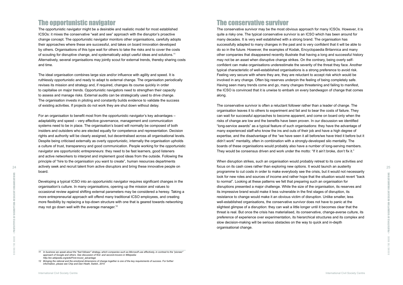# The conservative survivor

The conservative survivor may be the most obvious approach for many ICSOs. However, it is quite a risky one. The typical conservative survivor is an ICSO which has been around for many decades. It is very well established with a strong brand. The organisation has successfully adapted to many changes in the past and is very confident that it will be able to do so in the future. However, the examples of Kodak, Encyclopaedia Britannica and many other companies that disappeared recently illustrate that having a long and successful history may not be an asset when disruptive change strikes. On the contrary, being overly selfconfident can make organisations underestimate the severity of the threat they face. Another typical characteristic of well-established organisations is a strong preference to avoid risk. Feeling very secure with where they are, they are reluctant to accept risk which would be involved in any change. Often big reserves underpin the feeling of being completely safe. Having seen many trends come and go, many changes threatening and failing to manifest, the ICSO is convinced that it is unwise to embark on every bandwagon of change that comes along.

actively seek and recruit talent from active disruptors and bring these innovative people on  $25$  focus on its cash cows rather than exploring new options. It would launch an austerity  $25$ When disruption strikes, such an organisation would probably retreat to its core activities and focus on its cash cows rather than exploring new options. It would launch an austerity programme to cut costs in order to make everybody see the crisis, but it would not necessarily look for new roles and sources of income and rather hope that the situation would revert "back to normal". Looking at these patterns we felt that preparing such an organisation for disruptions presented a major challenge. While the size of the organisation, its reserves and its impressive brand would make it less vulnerable in the first stages of disruption, its resistance to change would make it an obvious victim of disruption. Unlike smaller, less well-established organisations, the conservative survivor does not have to panic at the slightest glimpse of a disruption: they can wait a little longer until it becomes clear that the threat is real. But once the crisis has materialised, its conservative, change-averse culture, its preference of experience over experimentation, its hierarchical structures and its complex and slow decision-making will be serious obstacles on the way to quick and in-depth organisational change.

The conservative survivor is often a reluctant follower rather than a leader of change. The organisation leaves it to others to experiment and fail and to bear the costs of failure. They can wait for successful approaches to become apparent, and come on board only when the risks of change are low and the benefits have been proven. In our discussion we identified "long-service awards" as a typical feature of such organisations: they have the advantage of many experienced staff who know the ins and outs of their job and have a high degree of expertise, and the disadvantage of the "we have seen it all before/we have tried it before but it didn't work" mentality, often in combination with a strongly-developed silo mentality. The boards of these organisations would probably also have a number of long-serving members. They would be consensus driven and work under the motto: "If it ain't broke, don't fix it."

Developing a typical ICSO into an opportunistic navigator requires significant changes in the organisation's culture. In many organisations, opening up the mission and values to occasional review against shifting external parameters may be considered a heresy. Taking a more entrepreneurial approach will offend many traditional ICSO employees, and creating more flexibility by replacing a top-down structure with one that is geared towards networking may not go down well with the average manager.<sup>12</sup>

RESILIENT

**RESILIENT ORGANISATIONS** Riding the Wave > PROTOTYPES OF DISRUPTION-RESILIENT ORGANISATIONS **DISRUPTION-**PROTOTYPES OF Ĕ ÷

# The opportunistic navigator

The opportunistic navigator might be a desirable and realistic model for most established ICSOs: it mixes the conservative "wait and see" approach with the disruptor's proactive change concept. The opportunistic navigator monitors other organisations, carefully adopts their approaches where these are successful, and takes on board innovation developed by others. Organisations of this type wait for others to take the risks and to cover the costs of scouting for disruptive change, and systematically adopt useful ideas and solutions.11 Alternatively, several organisations may jointly scout for external trends, thereby sharing costs and time.

The ideal organisation combines large size and/or influence with agility and speed. It is ruthlessly opportunistic and ready to adapt to external change. The organisation periodically revises its mission and strategy and, if required, changes its course quickly in order to capitalise on major trends. Opportunistic navigators need to strengthen their capacity to assess and manage risks. External audits can be strategically used to drive change. The organisation invests in piloting and constantly builds evidence to validate the success of existing activities. If projects do not work they are shut down without delay.

For an organisation to benefit most from the opportunistic navigator's key advantages – adaptability and speed – very effective governance, management and communication systems need to be in place. The organisation's board will normally be composed of both insiders and outsiders who are elected equally for competence and representation. Decision rights and authority will be clearly assigned, but decentralised across all organisational levels. Despite being criticised externally as overly opportunistic, internally the organisation upholds a culture of trust, transparency and good communication. People working for the opportunistic navigator are opportunistic entrepreneurs: they need to be fast learners, good listeners and active networkers to interpret and implement good ideas from the outside. Following the principle of "hire to the organisation you want to create", human resources departments board.

*<sup>11</sup> In business we speak about the "fast follower" strategy, which companies such as Microsoft use effectively, in contrast to the "pioneer" approach of Google and others. See discussion of first- and second-movers in Wikipedia: http://en.wikipedia.org/wiki/First-mover\_advantage*

*<sup>12</sup> Bringing the rational and the emotional dimensions of change together is one of the key requirements of success. For further information, please see Chip and Dan Heath,* Switch*, 2010*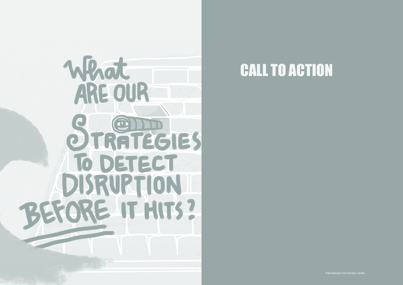

# CALL TO ACTION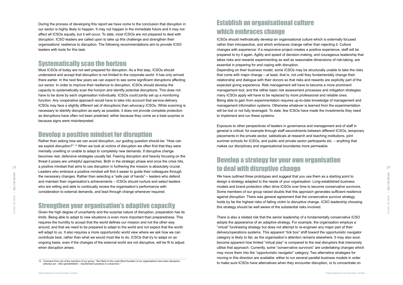# Establish an organisational culture which embraces change

ICSOs should methodically develop an organisational culture which is externally focused rather than introspective, and which embraces change rather than rejecting it. Culture changes with experience: if a responsive project creates a positive experience, staff will be prepared to try it again. Agility and speed of decision-making, and courageous leadership that takes risks and rewards experimenting as well as reasonable dimensions of risk-taking, are essential in preparing for and coping with disruption. Depending on their business model, some ICSOs may be structurally unable to take the risks that come with major change – at least, that is, not until they fundamentally change their relationship and dialogue with their donors so that risks and rewards are explicitly part of the expected giving experience. Risk management will have to become a more prominent management tool, and the rather basic risk assessment processes and mitigation strategies many ICSOs apply will have to be replaced by more professional and reliable ones. Being able to gain from experimentation requires up-to-date knowledge of management and management information systems. Otherwise whatever is learned from the experimentation will be lost or not fully leveraged. To date, few ICSOs have made the investments they need to implement and run these systems.

Exposure to other perspectives of leaders in governance and management and of staff in general is critical: for example through staff secondments between different ICSOs, temporary placements in the private sector, sabbaticals at research and teaching institutions, joint summer schools for ICSOs, and public and private sector participants etc. – anything that makes our disciplinary and organisational boundaries more permeable.

# Develop a strategy for your own organisation

We have outlined three prototypes and suggest that you use them as a starting point to design a strategy adapted to the needs of your organisation. Long-established business models and brand protection often drive ICSOs over time to become conservative survivors. Some members of our group raised doubts that this approach generates sufficient resilience against disruption. There was general agreement that the conservative survivor strategy holds by far the highest risks of falling victim to disruptive change. ICSO leadership choosing this strategy should be well aware of the substantial risks involved.

28 28 a positive mindset that alms to use disruption in furthering the mission is absolutely crucial.<br>Leaders who embrace a positive mindset will find it easier to quide their colleagues through **to deal with disruptive c** Rather than asking how we can avoid disruption, our guiding question should be: "How can we exploit disruption?".13 When we look at victims of disruption we often find that they were mentally unwilling or unable to adapt to completely new demands. If disruptive change becomes real, defensive strategies usually fail. Fearing disruption and heavily focusing on the threat it poses are unhelpful approaches. Both in the strategic phase and once the crisis hits, a positive mindset that aims to use disruption in furthering the mission is absolutely crucial. Leaders who embrace a positive mindset will find it easier to guide their colleagues through the necessary changes. Rather than selecting a "safe pair of hands" – leaders who defend and maintain their organisation's achievements – ICSOs should nurture and select leaders who are willing and able to continually review the organisation's performance with consideration to external demands, and lead through change whenever required.

> There is also a related risk that the senior leadership of a fundamentally conservative ICSO adopts the appearance of an adaptive strategy. For example, the organisation employs a "virtual" fundraising strategy but does not attempt to re-engineer any major part of their delivery/operations systems. This apparent "tick box" shift toward the opportunistic navigator category is likely to fail, as the organisation's attention remains elsewhere. It may also soon become apparent how limited "virtual play" is compared to the real disruptors that intensively utilise that approach. Currently, some "conservative survivors" are undertaking changes which may move them into the "opportunistic navigator" category. Two alternative strategies for moving in this direction are available: either to run several parallel business models in order to make sure ICSOs have alternatives when they encounter disruption, or to concentrate on

CALL FOR ACTION Riding the Wave > CALL FOR ACTION **WAVE**  $\mathop{\cong}_{\mathop{\cong}}$ 

During the process of developing this report we have come to the conclusion that disruption in our sector is highly likely to happen. It may not happen in the immediate future and it may not affect all ICSOs equally, but it will occur. To date, most ICSOs are not prepared to deal with disruption. ICSO leaders are called upon to take up this challenge and strengthen their organisations' resilience to disruption. The following recommendations aim to provide ICSO leaders with tools for this task.

# Systematically scan the horizon

Most ICSOs of today are not well prepared for disruption. As a first step, ICSOs should understand and accept that disruption is not limited to the corporate world. It has only arrived there earlier. In the next few years we can expect to see some significant disruptions affecting our sector. In order to improve their resilience to disruption, ICSOs should develop the capacity to systematically scan the horizon and identify potential disruptions. This does not have to be done by each organisation individually. ICSOs could jointly set up a monitoring function. Any cooperative approach would have to take into account that service-delivery ICSOs may face a slightly different set of disruptions than advocacy ICSOs. While scanning is necessary to identify disruption as early as possible, it does not provide complete protection as disruptions have often not been predicted, either because they come as a total surprise or because signs were misinterpreted.

# Develop a positive mindset for disruption

# Strengthen your organisation's adaptive capacity

Given the high degree of uncertainty and the surprise nature of disruption, preparation has its limits. Being able to adapt to new situations is even more important than preparedness. This requires the humility to accept that the world defines our mission and not the other way around, and that we need to be prepared to adapt to the world and not expect that the world will adapt to us. It also requires a more opportunistic world view where we ask how we can contribute best, rather than what we would most like to do. ICSOs that try to adapt on an ongoing basis, even if the changes of the external world are not disruptive, will be fit to adjust when disruption arises.

*<sup>13</sup> Comment from one of the members of our group: "Yes! Back to the roots! Most founders of our organisations have been disruptors, whereas we – their grandchildren – transformed ourselves to conservers."*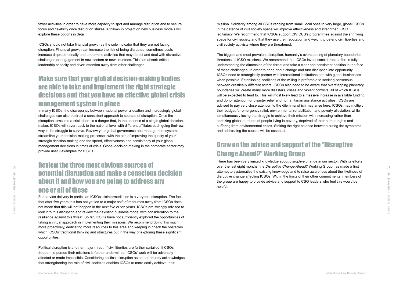mission. Solidarity among all CSOs ranging from small, local ones to very large, global ICSOs in the defence of civil society space will improve effectiveness and strengthen ICSO legitimacy. We recommend that ICSOs support CIVICUS's programmes against the shrinking space for civil society and that they use their reputation and weight to defend civil liberties and civil society activists where they are threatened.

The biggest and most prevalent disruption, humanity's overstepping of planetary boundaries, threatens all ICSO missions. We recommend that ICSOs invest considerable effort in fully understanding the dimension of the threat and take a clear and consistent position in the face of these challenges. In order to bring about change and turn disruption into opportunity, ICSOs need to strategically partner with international institutions and with global businesses when possible. Establishing coalitions of the willing is preferable to seeking consensus between drastically different actors. ICSOs also need to be aware that overstepping planetary boundaries will create many more disasters, crises and violent conflicts, all of which ICSOs will be expected to tend to. This will most likely lead to a massive increase in available funding and donor attention for disaster relief and humanitarian assistance activities. ICSOs are advised to pay very close attention to the dilemma which may arise here: ICSOs may multiply their budget for emergency relief, environmental rehabilitation and poverty alleviation, while simultaneously losing the struggle to achieve their mission with increasing rather than shrinking global numbers of people living in poverty, deprived of their human rights and suffering from environmental crises. Striking the right balance between curing the symptoms and addressing the causes will be essential.

**SO 30 31 IN STAND IN STAND IN STAND IN STAND IN STAND TO SALE AND STAND STAND IN STAND IN STANDARD STAND IN STANDARD STANDARD STANDARD STANDARD STANDARD STANDARD STANDARD STANDARD STANDARD STANDARD STANDARD STANDARD STAN** There has been very limited knowledge about disruptive change in our sector. With its efforts attempt to systematise the existing knowledge and to raise awareness about the likeliness of disruptive change affecting ICSOs. Within the limits of their other commitments, members of the group are happy to provide advice and support to CSO leaders who feel this would be helpful.

# Draw on the advice and support of the "Disruptive Change Ahead?" Working Group

In many ICSOs, the discrepancy between national power allocation and increasingly global challenges can also obstruct a consistent approach to sources of disruption. Once the disruption turns into a crisis there is a danger that, in the absence of a single global decisionmaker, ICSOs will revert back to the national level with different affiliates each going their own way in the struggle to survive. Review your global governance and management systems, streamline your decision-making processes with the aim of improving the quality of your strategic decision-making and the speed, effectiveness and consistency of your global management decisions in times of crisis. Global decision-making in the corporate sector may provide useful examples for ICSOs.

fewer activities in order to have more capacity to spot and manage disruption and to secure focus and flexibility once disruption strikes. A follow-up project on new business models will explore these options in detail.

FOR ACTION Riding the Wave > CALL FOR ACTION  $\frac{1}{50}$ **NAVE** 

ICSOs should not take financial growth as the sole indicator that they are not facing disruption. Financial growth can increase the risk of being disrupted: sometimes costs increase disproportionally and undermine activities that may detect and deal with disruptive challenges or engagement in new sectors or new countries. This can absorb critical leadership capacity and divert attention away from other challenges.

# Make sure that your global decision-making bodies are able to take and implement the right strategic decisions and that you have an effective global crisis management system in place

# Review the three most obvious sources of potential disruption and make a conscious decision about if and how you are going to address any one or all of these

For service delivery in particular, ICSOs' disintermediation is a very real disruption. The fact that after five years this has not yet led to a major shift of resources away from ICSOs does not mean that this will not happen in the next five or ten years. ICSOs are strongly advised to look into this disruption and review their existing business model with consideration to the resilience against this threat. So far, ICSOs have not sufficiently explored the opportunities of taking a virtual approach in implementing their missions. We recommend doing this much more proactively, dedicating more resources to this area and keeping in check the obstacles which ICSOs' traditional thinking and structures put in the way of exploring these significant opportunities.

Political disruption is another major threat. If civil liberties are further curtailed, if CSOs' freedom to pursue their missions is further undermined, ICSOs' work will be adversely affected or made impossible. Considering political disruption as an opportunity acknowledges that strengthening the role of civil societies enables ICSOs to more easily achieve their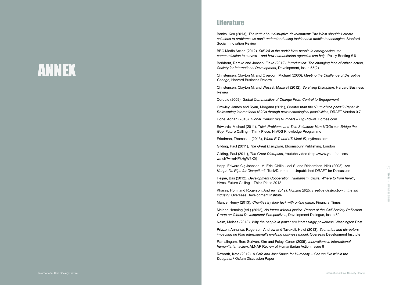| ent: The West shouldn't create     |
|------------------------------------|
| able mobile technologies, Stanford |

Banks, Ken (2013), *The truth about disruptive developm* solutions to problems we don't understand using fashion Social Innovation Review

BBC Media Action (2012), *Still left in the dark? How people in emergencies use communication to survive – and how humanitarian agencies can help*, Policy Briefing # 6

Berkhout, Remko and Jansen, Fieke (2012), *Introduction: The changing face of citizen action, Society for International Development*, Development, Issue 55(2)

Christensen, Clayton M. and Overdorf, Michael (2000), *Meeting the Challenge of Disruptive Change*, Harvard Business Review

Christensen, Clayton M. and Wessel, Maxwell (2012), *Surviving Disruption*, Harvard Business Review

32 33 Happ, Edward G.; Johnson, M. Eric; Obillo, Joel S. and Richardson, Nick (2008), *Are Nonprofits Ripe for Disruption?*, Tuck/Dartmouth, Unpublished DRAFT for Discussion

Cordaid (2009), *Global Communities of Change From Control to Engagement*

Crowley, James and Ryan, Morgana (2011), *Greater than the "Sum of the parts"? Paper 4: Reinventing international NGOs through new technological possibilities*, DRAFT Version 0.7

Done, Adrian (2013), *Global Trends: Big Numbers*  – *Big Picture*, Forbes.com

Edwards, Michael (2011), *Thick Problems and Thin Solutions: How NGOs can Bridge the Gap*, Future Calling – Think Piece, HIVOS Knowledge Programme

Friedman, Thomas L. (2013), *When E.T. and I.T. Meet ID*, nytimes.com

- 
- 
- 
- 
- 
- 
- 
- 
- 
- 
- 
- **ANNEX** Riding the Wave > ANNEX
- 
- 
- 
- 
- 

Gilding, Paul (2011), *The Great Disruption*, Bloomsbury Publishing, London

Gilding, Paul (2011), *The Great Disruption*, Youtube video (http://www.youtube.com/ watch?v=nrHFkHgW6X0)

Heijne, Bas (2012), *Development Cooperation, Humanism, Crisis: Where to from here?*, Hivos, Future Calling – Think Piece 2012

Kharas, Homi and Rogerson, Andrew (2012), *Horizon 2025: creative destruction in the aid industry*, Overseas Development Institute

Mance, Henry (2013), *Charities try their luck with online game*, Financial Times

Melber, Henning (ed.) (2012), *No future without justice: Report of the Civil Society Reflection Group on Global Development Perspectives*, Development Dialogue, Issue 59

Naim, Moises (2013), *Why the people in power are increasingly powerless*, Washington Post

Prizzon, Annalisa; Rogerson, Andrew and Tavakoli, Heidi (2013), *Scenarios and disruptors impacting on Plan International's evolving business model*, Overseas Development Institute

Ramalingam, Ben; Scriven, Kim and Foley, Conor (2009), *Innovations in international humanitarian action*, ALNAP Review of Humanitarian Action, Issue 8

Raworth, Kate (2012), *A Safe and Just Space for Humanity – Can we live within the Doughnut?* Oxfam Discussion Paper

# ANNEX

# **Literature**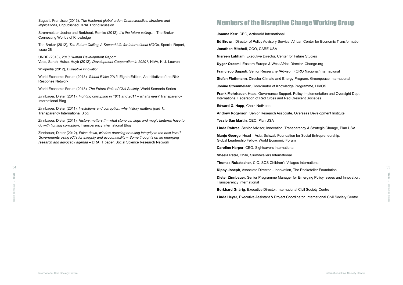# Members of the Disruptive Change Working Group

**Joanna Kerr**, CEO, ActionAid International

**Ed Brown**, Director of Policy Advisory Service, African Center for Economic Transformation

**Jonathan Mitchell**, COO, CARE USA

**Nisreen Lahham**, Executive Director, Center for Future Studies

**Uygar Özesmi**, Eastern Europe & West Africa Director, Change.org

**Francisco Sagasti**, Senior Researcher/Advisor, FORO Nacional/Internacional

**Stefan Flothmann**, Director Climate and Energy Program, Greenpeace International

**Manju George**, Head – Asia, Schwab Foundation for Social Entrepreneurship. Global Leadership Fellow, World Economic Forum

**Josine Stremmelaar**, Coordinator of Knowledge Programme, HIVOS

**Frank Mohrhauer**, Head, Governance Support, Policy Implementation and Oversight Dept, International Federation of Red Cross and Red Crescent Societies

**Edward G. Happ**, Chair, NetHope

**Andrew Rogerson**, Senior Research Associate, Overseas Development Institute

**Tessie San Martin**, CEO, Plan USA

**Linda Raftree**, Senior Advisor, Innovation, Transparency & Strategic Change, Plan USA

**Caroline Harper**, CEO, Sightsavers International

**Sheela Patel**, Chair, Slumdwellers International

- 
- 
- 

| 35 |
|----|
|    |
|    |
|    |
|    |

Sagasti, Francisco (2013), *The fractured global order: Characteristics, structure and implications*, Unpublished DRAFT for discussion

Stremmelaar, Josine and Berkhout, Remko (2012), *It's the future calling…*, The Broker – Connecting Worlds of Knowledge

The Broker (2012), *The Future Calling, A Second Life for International NGOs*, Special Report, Issue 28

UNDP (2013), *2013 Human Development Report* Vaes, Sarah; Huise, Huyb (2012), *Development Cooperation in 2020?*, HIVA, K.U. Leuven

Wikipedia (2012), *Disruptive innovation*

World Economic Forum (2013), *Global Risks 2013*, Eighth Edition, An Initiative of the Risk Response Network

World Economic Forum (2013), *The Future Role of Civil Society*, World Scenario Series

Zinnbauer, Dieter (2011), *Fighting corruption in 1811 and 2011 – what's new?* Transparency International Blog

Zinnbauer, Dieter (2011), *Institutions and corruption: why history matters (part 1)*, Transparency International Blog

Zinnbauer, Dieter (2011), *History matters II – what stone carvings and magic lanterns have to do with fighting corruption*, Transparency International Blog

Zinnbauer, Dieter (2012), *False dawn, window dressing or taking integrity to the next level? Governments using ICTs for integrity and accountability – Some thoughts on an emerging research and advocacy agenda* – DRAFT paper. Social Science Research Network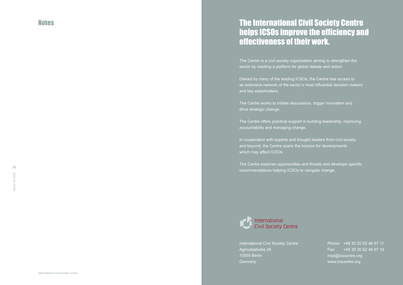# Notes The International Civil Society Centre helps ICSOs improve the efficiency and effectiveness of their work.

The Centre is a civil society organisation aiming to strengthen the sector by creating a platform for global debate and action.

Owned by many of the leading ICSOs, the Centre has access to an extensive network of the sector's most influential decision makers and key stakeholders.

International Civil Society Centre Agricolastraße 26 10555 Berlin **Germany** 

The Centre works to initiate discussions, trigger innovation and drive strategic change.

The Centre offers practical support in building leadership, improving accountability and managing change.

In cooperation with experts and thought leaders from civil society and beyond, the Centre scans the horizon for developments which may affect ICSOs.

The Centre explores opportunities and threats and develops specific recommendations helping ICSOs to navigate change.



Phone: +49 30 20 62 46 97 11 Fax: +49 30 20 62 46 97 19 mail@icscentre.org www.icscentre.org